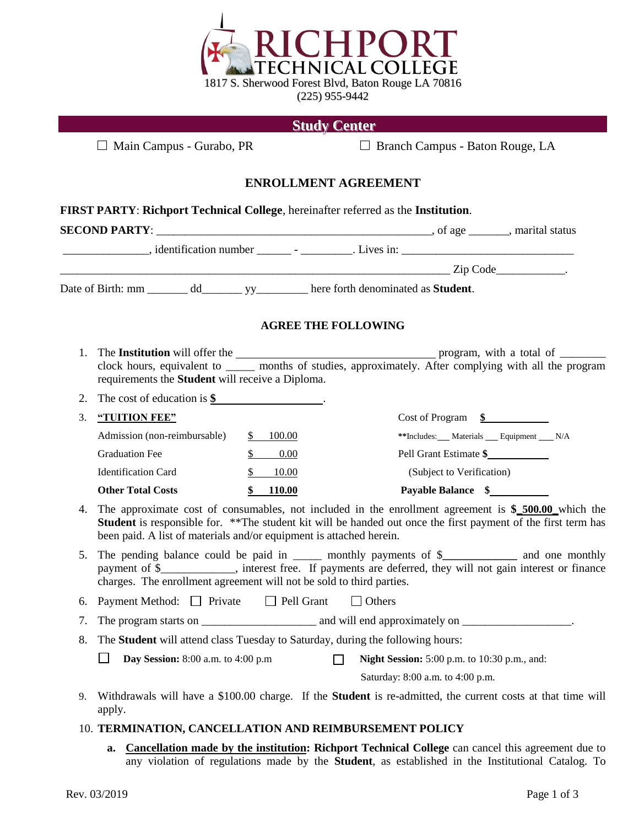

# **Study Center**

□ Main Campus - Gurabo, PR □ Branch Campus - Baton Rouge, LA

## **ENROLLMENT AGREEMENT**

|    | <b>SECOND PARTY</b> : $\_\_\_\_\_\_\_$ , marital status                                                                                                                                                                                                                                       |                            |                             |                                              |  |  |
|----|-----------------------------------------------------------------------------------------------------------------------------------------------------------------------------------------------------------------------------------------------------------------------------------------------|----------------------------|-----------------------------|----------------------------------------------|--|--|
|    |                                                                                                                                                                                                                                                                                               |                            |                             |                                              |  |  |
|    |                                                                                                                                                                                                                                                                                               |                            | $\frac{1}{\text{Zip Code}}$ |                                              |  |  |
|    |                                                                                                                                                                                                                                                                                               |                            |                             |                                              |  |  |
|    |                                                                                                                                                                                                                                                                                               | <b>AGREE THE FOLLOWING</b> |                             |                                              |  |  |
|    | clock hours, equivalent to ______ months of studies, approximately. After complying with all the program<br>requirements the Student will receive a Diploma.                                                                                                                                  |                            |                             |                                              |  |  |
| 2. | The cost of education is $\frac{\$}{\$}$ .                                                                                                                                                                                                                                                    |                            |                             |                                              |  |  |
| 3. | "TUITION FEE"                                                                                                                                                                                                                                                                                 |                            |                             | $Cost of Program \quad \underline{\$}$       |  |  |
|    | Admission (non-reimbursable)                                                                                                                                                                                                                                                                  | \$100.00                   |                             | **Includes: Materials Equipment N/A          |  |  |
|    | <b>Graduation Fee</b>                                                                                                                                                                                                                                                                         | \$ 0.00                    |                             | Pell Grant Estimate \$                       |  |  |
|    | <b>Identification Card</b>                                                                                                                                                                                                                                                                    | $\mathbb{S}$<br>10.00      |                             | (Subject to Verification)                    |  |  |
|    | <b>Other Total Costs</b>                                                                                                                                                                                                                                                                      | \$110.00                   |                             | Payable Balance \$                           |  |  |
| 4. | The approximate cost of consumables, not included in the enrollment agreement is \$_500.00_which the<br>Student is responsible for. ** The student kit will be handed out once the first payment of the first term has<br>been paid. A list of materials and/or equipment is attached herein. |                            |                             |                                              |  |  |
| 5. | The pending balance could be paid in ______ monthly payments of \$_____________ and one monthly<br>payment of \$___________, interest free. If payments are deferred, they will not gain interest or finance<br>charges. The enrollment agreement will not be sold to third parties.          |                            |                             |                                              |  |  |
| 6. | Payment Method: $\Box$ Private $\Box$ Pell Grant<br>$\Box$ Others                                                                                                                                                                                                                             |                            |                             |                                              |  |  |
| 7. |                                                                                                                                                                                                                                                                                               |                            |                             |                                              |  |  |
| 8. | The Student will attend class Tuesday to Saturday, during the following hours:                                                                                                                                                                                                                |                            |                             |                                              |  |  |
|    | $\Box$<br>Day Session: $8:00$ a.m. to $4:00$ p.m                                                                                                                                                                                                                                              |                            | $\Box$                      | Night Session: 5:00 p.m. to 10:30 p.m., and: |  |  |
|    |                                                                                                                                                                                                                                                                                               |                            |                             | Saturday: 8:00 a.m. to 4:00 p.m.             |  |  |
| 9. | Withdrawals will have a \$100.00 charge. If the <b>Student</b> is re-admitted, the current costs at that time will<br>apply.                                                                                                                                                                  |                            |                             |                                              |  |  |

### 10. **TERMINATION, CANCELLATION AND REIMBURSEMENT POLICY**

**a. Cancellation made by the institution: Richport Technical College** can cancel this agreement due to any violation of regulations made by the **Student**, as established in the Institutional Catalog. To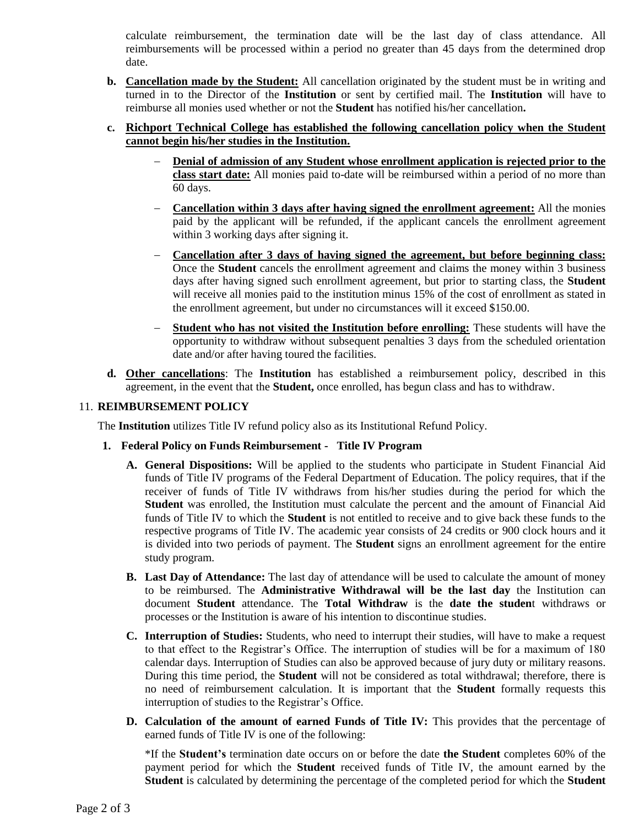calculate reimbursement, the termination date will be the last day of class attendance. All reimbursements will be processed within a period no greater than 45 days from the determined drop date.

**b. Cancellation made by the Student:** All cancellation originated by the student must be in writing and turned in to the Director of the **Institution** or sent by certified mail. The **Institution** will have to reimburse all monies used whether or not the **Student** has notified his/her cancellation**.**

## **c. Richport Technical College has established the following cancellation policy when the Student cannot begin his/her studies in the Institution.**

- − **Denial of admission of any Student whose enrollment application is rejected prior to the class start date:** All monies paid to-date will be reimbursed within a period of no more than 60 days.
- − **Cancellation within 3 days after having signed the enrollment agreement:** All the monies paid by the applicant will be refunded, if the applicant cancels the enrollment agreement within 3 working days after signing it.
- − **Cancellation after 3 days of having signed the agreement, but before beginning class:** Once the **Student** cancels the enrollment agreement and claims the money within 3 business days after having signed such enrollment agreement, but prior to starting class, the **Student** will receive all monies paid to the institution minus 15% of the cost of enrollment as stated in the enrollment agreement, but under no circumstances will it exceed \$150.00.
- **Student who has not visited the Institution before enrolling:** These students will have the opportunity to withdraw without subsequent penalties 3 days from the scheduled orientation date and/or after having toured the facilities.
- **d. Other cancellations**: The **Institution** has established a reimbursement policy, described in this agreement, in the event that the **Student,** once enrolled, has begun class and has to withdraw.

## 11. **REIMBURSEMENT POLICY**

The **Institution** utilizes Title IV refund policy also as its Institutional Refund Policy.

- **1. Federal Policy on Funds Reimbursement Title IV Program**
	- **A. General Dispositions:** Will be applied to the students who participate in Student Financial Aid funds of Title IV programs of the Federal Department of Education. The policy requires, that if the receiver of funds of Title IV withdraws from his/her studies during the period for which the **Student** was enrolled, the Institution must calculate the percent and the amount of Financial Aid funds of Title IV to which the **Student** is not entitled to receive and to give back these funds to the respective programs of Title IV. The academic year consists of 24 credits or 900 clock hours and it is divided into two periods of payment. The **Student** signs an enrollment agreement for the entire study program.
	- **B. Last Day of Attendance:** The last day of attendance will be used to calculate the amount of money to be reimbursed. The **Administrative Withdrawal will be the last day** the Institution can document **Student** attendance. The **Total Withdraw** is the **date the studen**t withdraws or processes or the Institution is aware of his intention to discontinue studies.
	- **C. Interruption of Studies:** Students, who need to interrupt their studies, will have to make a request to that effect to the Registrar's Office. The interruption of studies will be for a maximum of 180 calendar days. Interruption of Studies can also be approved because of jury duty or military reasons. During this time period, the **Student** will not be considered as total withdrawal; therefore, there is no need of reimbursement calculation. It is important that the **Student** formally requests this interruption of studies to the Registrar's Office.
	- **D. Calculation of the amount of earned Funds of Title IV:** This provides that the percentage of earned funds of Title IV is one of the following:

\*If the **Student's** termination date occurs on or before the date **the Student** completes 60% of the payment period for which the **Student** received funds of Title IV, the amount earned by the **Student** is calculated by determining the percentage of the completed period for which the **Student**